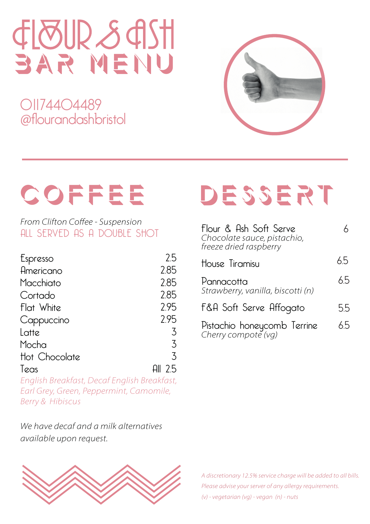# bar menu

01174404489 @flourandashbristol



# COFFEE

From Clifton Coffee - Suspension ALL SERVED AS A DOUBLE SHOT

| Espresso      | 25        |
|---------------|-----------|
| Americano     | 2.85      |
| Macchiato     | 2.85      |
| Cortado       | 2.85      |
| Flat White    | 2.95      |
| Cappuccino    | 2.95      |
| Latte         | 3         |
| Mocha         | 3         |
| Hot Chocolate | 3         |
| Teas          | All $2.5$ |
|               |           |

English Breakfast, Decaf English Breakfast, Earl Grey, Green, Peppermint, Camomile, Berry & Hibiscus

We have decaf and a milk alternatives *available upon request.* 



## DESSERT

| Flour & Ash Soft Serve<br>Chocolate sauce, pistachio,<br>freeze dried raspberry |     |
|---------------------------------------------------------------------------------|-----|
| House Tiramisu                                                                  | 65  |
| Pannacotta<br>Strawberry, vanilla, biscotti (n)                                 | 65  |
| F&A Soft Serve Affogato                                                         | 5.5 |
| Pistachio honeycomb Terrine<br>Cherry compote (vg)                              | 65  |

A discretionary 12.5% service charge will be added to all bills. Please advise your server of any allergy requirements. (v) - vegetarian (vg) - vegan (n) - nuts